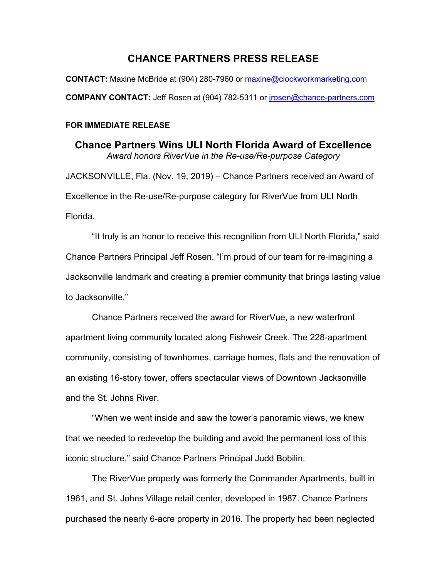# **CHANCE PARTNERS PRESS RELEASE**

**CONTACT:** Maxine McBride at (904) 280-7960 or maxine@clockworkmarketing.com **COMPANY CONTACT:** Jeff Rosen at (904) 782-5311 or jrosen@chance-partners.com

#### **FOR IMMEDIATE RELEASE**

**Chance Partners Wins ULI North Florida Award of Excellence**  *Award honors RiverVue in the Re-use/Re-purpose Category* JACKSONVILLE, Fla. (Nov. 19, 2019) – Chance Partners received an Award of Excellence in the Re-use/Re-purpose category for RiverVue from ULI North Florida.

"It truly is an honor to receive this recognition from ULI North Florida," said Chance Partners Principal Jeff Rosen. "I'm proud of our team for re-imagining a Jacksonville landmark and creating a premier community that brings lasting value to Jacksonville."

Chance Partners received the award for RiverVue, a new waterfront apartment living community located along Fishweir Creek. The 228-apartment community, consisting of townhomes, carriage homes, flats and the renovation of an existing 16-story tower, offers spectacular views of Downtown Jacksonville and the St. Johns River.

"When we went inside and saw the tower's panoramic views, we knew that we needed to redevelop the building and avoid the permanent loss of this iconic structure," said Chance Partners Principal Judd Bobilin.

The RiverVue property was formerly the Commander Apartments, built in 1961, and St. Johns Village retail center, developed in 1987. Chance Partners purchased the nearly 6-acre property in 2016. The property had been neglected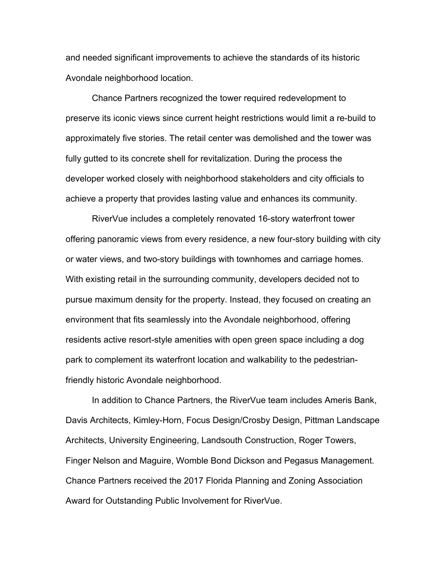and needed significant improvements to achieve the standards of its historic Avondale neighborhood location.

Chance Partners recognized the tower required redevelopment to preserve its iconic views since current height restrictions would limit a re-build to approximately five stories. The retail center was demolished and the tower was fully gutted to its concrete shell for revitalization. During the process the developer worked closely with neighborhood stakeholders and city officials to achieve a property that provides lasting value and enhances its community.

RiverVue includes a completely renovated 16-story waterfront tower offering panoramic views from every residence, a new four-story building with city or water views, and two-story buildings with townhomes and carriage homes. With existing retail in the surrounding community, developers decided not to pursue maximum density for the property. Instead, they focused on creating an environment that fits seamlessly into the Avondale neighborhood, offering residents active resort-style amenities with open green space including a dog park to complement its waterfront location and walkability to the pedestrianfriendly historic Avondale neighborhood.

In addition to Chance Partners, the RiverVue team includes Ameris Bank, Davis Architects, Kimley-Horn, Focus Design/Crosby Design, Pittman Landscape Architects, University Engineering, Landsouth Construction, Roger Towers, Finger Nelson and Maguire, Womble Bond Dickson and Pegasus Management. Chance Partners received the 2017 Florida Planning and Zoning Association Award for Outstanding Public Involvement for RiverVue.